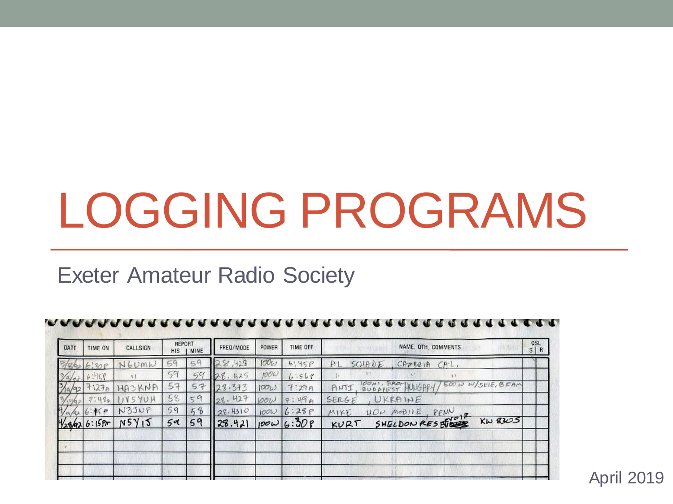# LOGGING PROGRAMS

#### Exeter Amateur Radio Society

| DATE         | TIME ON       | CALLSIGN | REPORT<br><b>HIS</b> | MINE              | FREQ/MODE     | POWER | TIME OFF               | <b>QSL</b><br>NAME, QTH, COMMENTS<br>S/R             |
|--------------|---------------|----------|----------------------|-------------------|---------------|-------|------------------------|------------------------------------------------------|
|              |               | 60mh     | 54                   |                   | ,428<br>8     | 100W  | 6!45P                  | SCHADE<br>CHM9218<br>$CHL$ ,<br>Рı                   |
| $4\sqrt{a}$  | 6.4159        |          | 501                  | 54                | $-28.$<br>425 | ROO   | 6:569                  | T1                                                   |
| 74/92        | 1270          | HASKNA   | 57                   | 57                | 28.373        | 100L  | 7:299                  | 100M<br>TROM<br>500 W W/SELE, BEAM<br>HUNGAR<br>ANTI |
|              | 7.490         | YUH      | 58                   | 59                | 427<br>28.    | 1001  | : 49A<br>$\Rightarrow$ | UKRAINE<br>SERGE                                     |
| $\sqrt{a/4}$ | 6:15P         | N35NF    | 59                   | $\mathcal{C}_{b}$ | 28.4310       | 100W  | 6:28P                  | PENN<br>MeBHE<br>$U\mathcal{O}v$<br>MIKE             |
|              | 1/28/426:158r | N5Y15    | 59                   | 59                | 28.421        |       | 10006:309              | SHELDON RESERVE<br>$Kw$ 8305<br>KURT                 |
|              |               |          |                      |                   |               |       |                        |                                                      |
|              |               |          |                      |                   |               |       |                        |                                                      |

April 2019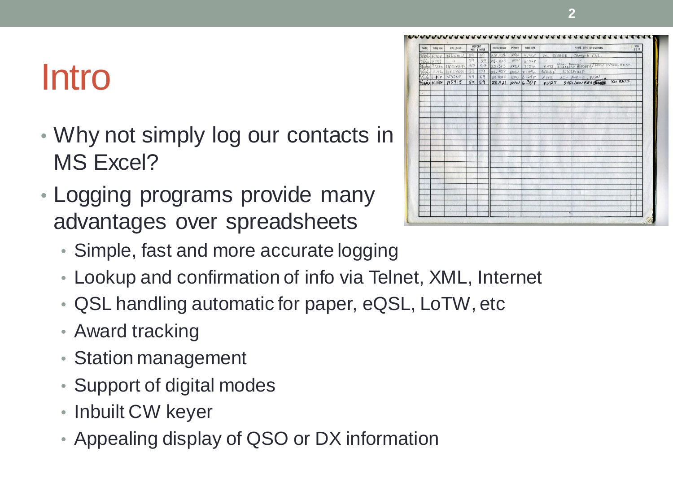#### Intro

- Why not simply log our contacts in MS Excel?
- Logging programs provide many advantages over spreadsheets
	- Simple, fast and more accurate logging
	- Lookup and confirmation of info via Telnet, XML, Internet
	- QSL handling automatic for paper, eQSL, LoTW, etc
	- Award tracking
	- Station management
	- Support of digital modes
	- Inbuilt CW keyer
	- Appealing display of QSO or DX information

| DATE     | TIME ON             | CALLSIGN       | REPORT | HIS I MINE | FREQ/MODE | POWER       | TIME OFF          | NAME, QTH, COMMENTS                       | OSL<br>S/R |
|----------|---------------------|----------------|--------|------------|-----------|-------------|-------------------|-------------------------------------------|------------|
| l O.k    | 6:30P               | NGUMN          | 59     | 59         | 28,428    | $100\omega$ | 4,456             | SCHADE, CAMBRIA CAL,<br>Pr1               |            |
| 41.1     | 6.4178              | $\mathbf{H}$   | 59     | 59         | 28.425    | <b>ROOW</b> | 6:568             | $155 -$<br>187<br>2011<br>$\mathbf{u}$    |            |
| 3/4/92   |                     | $71278$ HASKNA | 57     | 57         | 28.373    | 100L        | 7:29n             | ANTI, BURAFEST HUKEARY/ 500W W/SELE, BEAR |            |
| $w_{n2}$ | 2:44n               | IIX5YUH        | 58     | 59         | 28.427    | <b>VOOL</b> | 7:190             | SERGE, UKRAINE                            |            |
|          | $\sqrt{a/b}$ 6:15 P | N35NF          | 59     | 54         | 28.4310   | 100W        | 6:25P             |                                           |            |
|          | 1/28/92 6:15 Pm     | N5Y15          | 5d     | 59         | 28.421    |             | $100\omega$ 6:308 | MIKE HOW MODILE FENN PLAT KW 8305         |            |
|          |                     |                |        |            |           |             |                   |                                           |            |
|          |                     |                |        |            |           |             |                   |                                           |            |
|          |                     |                |        |            |           |             |                   |                                           |            |
|          |                     |                |        |            |           |             |                   |                                           |            |
|          |                     |                |        |            |           |             |                   |                                           |            |
|          |                     |                |        |            |           |             |                   |                                           |            |
|          |                     |                |        |            |           |             |                   |                                           |            |
|          |                     |                |        |            |           |             |                   |                                           |            |
|          |                     |                |        |            |           |             |                   |                                           |            |
|          |                     |                |        |            |           |             |                   |                                           |            |
|          |                     |                |        |            |           |             |                   |                                           |            |
|          |                     |                |        |            |           |             |                   |                                           |            |

**2**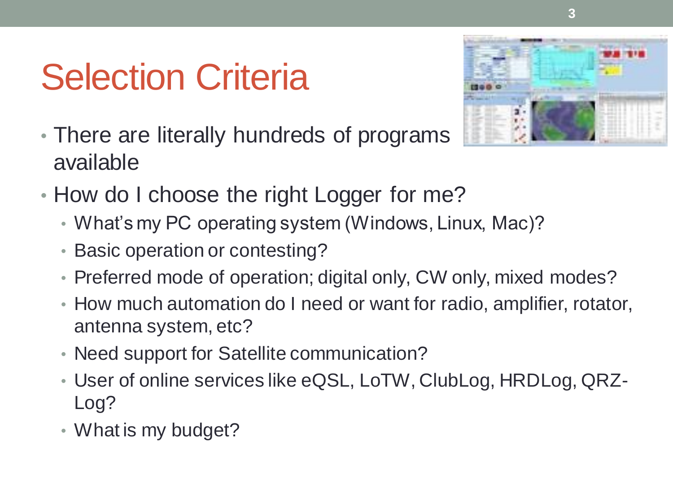### Selection Criteria



- There are literally hundreds of programs available
- How do I choose the right Logger for me?
	- What's my PC operating system (Windows, Linux, Mac)?
	- Basic operation or contesting?
	- Preferred mode of operation; digital only, CW only, mixed modes?
	- How much automation do I need or want for radio, amplifier, rotator, antenna system, etc?
	- Need support for Satellite communication?
	- User of online services like eQSL, LoTW, ClubLog, HRDLog, QRZ-Log?
	- What is my budget?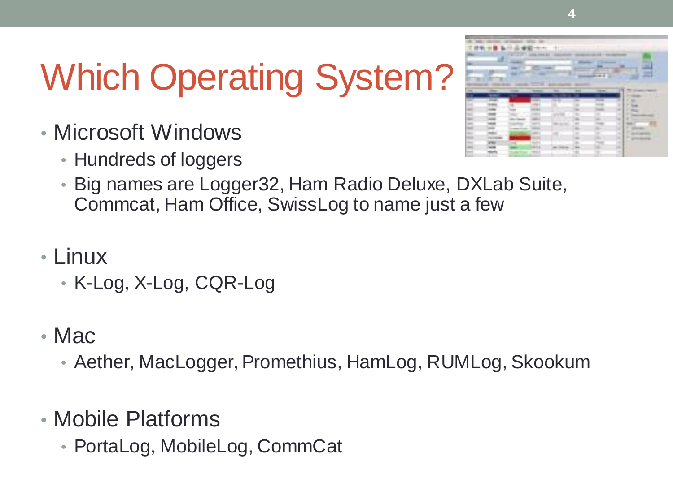# Which Operating System?

- Microsoft Windows
	- Hundreds of loggers



- Big names are Logger32, Ham Radio Deluxe, DXLab Suite, Commcat, Ham Office, SwissLog to name just a few
- Linux
	- K-Log, X-Log, CQR-Log
- Mac
	- Aether, MacLogger, Promethius, HamLog, RUMLog, Skookum
- Mobile Platforms
	- PortaLog, MobileLog, CommCat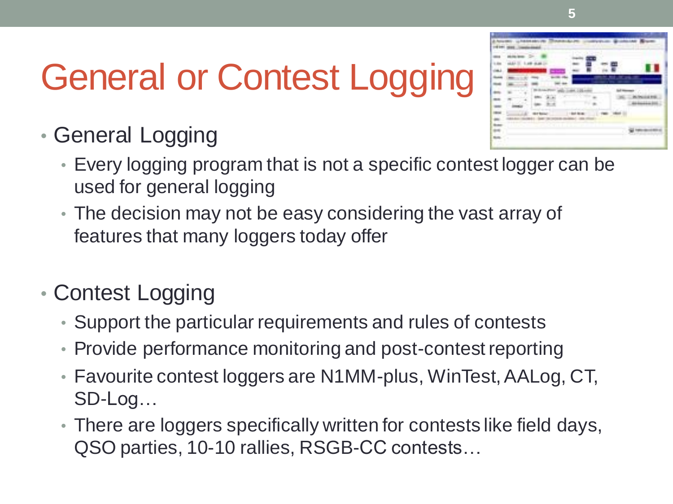# General or Contest Logging

- General Logging
	- Every logging program that is not a specific contest logger can be used for general logging
	- The decision may not be easy considering the vast array of features that many loggers today offer
- Contest Logging
	- Support the particular requirements and rules of contests
	- Provide performance monitoring and post-contest reporting
	- Favourite contest loggers are N1MM-plus, WinTest, AALog, CT, SD-Log…
	- There are loggers specifically written for contests like field days, QSO parties, 10-10 rallies, RSGB-CC contests…

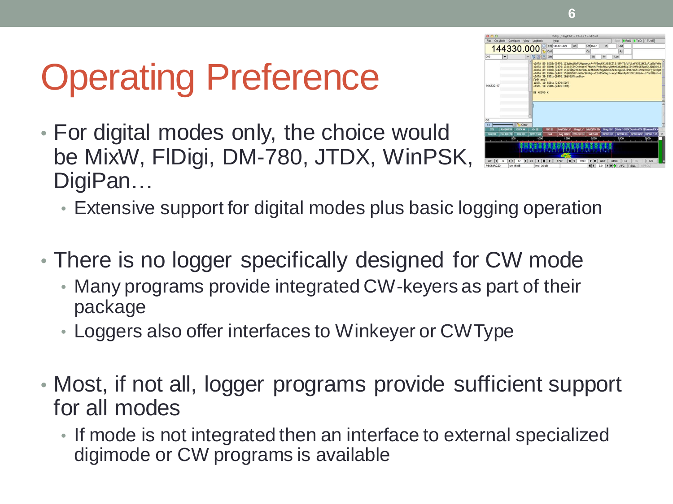# Operating Preference

• For digital modes only, the choice would be MixW, FlDigi, DM-780, JTDX, WinPSK, DigiPan…



- Extensive support for digital modes plus basic logging operation
- There is no logger specifically designed for CW mode
	- Many programs provide integrated CW-keyers as part of their package
	- Loggers also offer interfaces to Winkeyer or CWType
- Most, if not all, logger programs provide sufficient support for all modes
	- If mode is not integrated then an interface to external specialized digimode or CW programs is available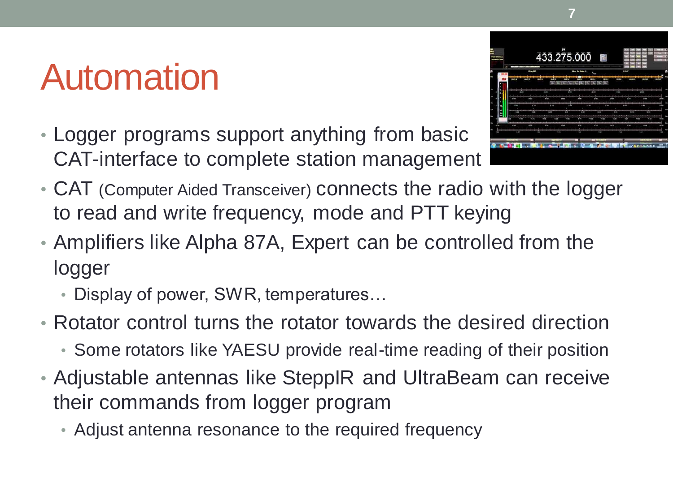#### Automation

• Logger programs support anything from basic CAT-interface to complete station management



**7**

- CAT (Computer Aided Transceiver) connects the radio with the logger to read and write frequency, mode and PTT keying
- Amplifiers like Alpha 87A, Expert can be controlled from the logger
	- Display of power, SWR, temperatures…
- Rotator control turns the rotator towards the desired direction
	- Some rotators like YAESU provide real-time reading of their position
- Adjustable antennas like SteppIR and UltraBeam can receive their commands from logger program
	- Adjust antenna resonance to the required frequency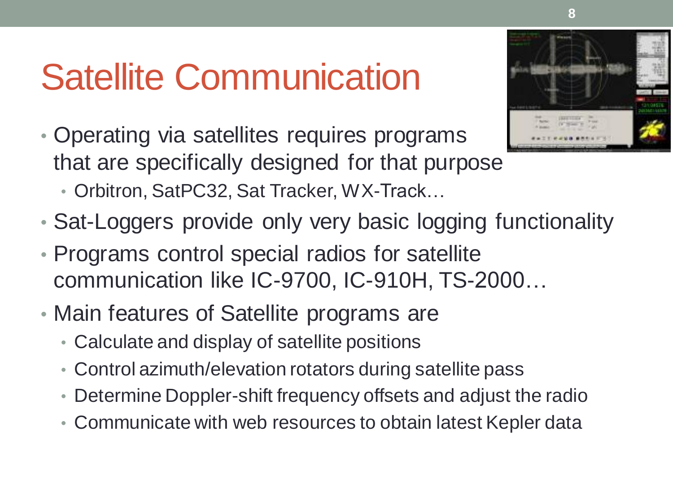#### Satellite Communication

- Operating via satellites requires programs that are specifically designed for that purpose • Orbitron, SatPC32, Sat Tracker, WX-Track...
- Sat-Loggers provide only very basic logging functionality
- Programs control special radios for satellite communication like IC-9700, IC-910H, TS-2000…
- Main features of Satellite programs are
	- Calculate and display of satellite positions
	- Control azimuth/elevation rotators during satellite pass
	- Determine Doppler-shift frequency offsets and adjust the radio
	- Communicate with web resources to obtain latest Kepler data

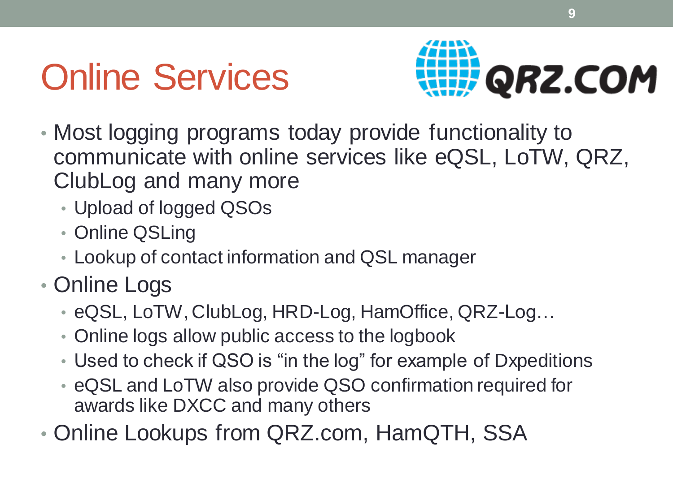### Online Services



- Most logging programs today provide functionality to communicate with online services like eQSL, LoTW, QRZ, ClubLog and many more
	- Upload of logged QSOs
	- Online QSLing
	- Lookup of contact information and QSL manager
- Online Logs
	- eQSL, LoTW, ClubLog, HRD-Log, HamOffice, QRZ-Log…
	- Online logs allow public access to the logbook
	- Used to check if QSO is "in the log" for example of Dxpeditions
	- eQSL and LoTW also provide QSO confirmation required for awards like DXCC and many others
- Online Lookups from QRZ.com, HamQTH, SSA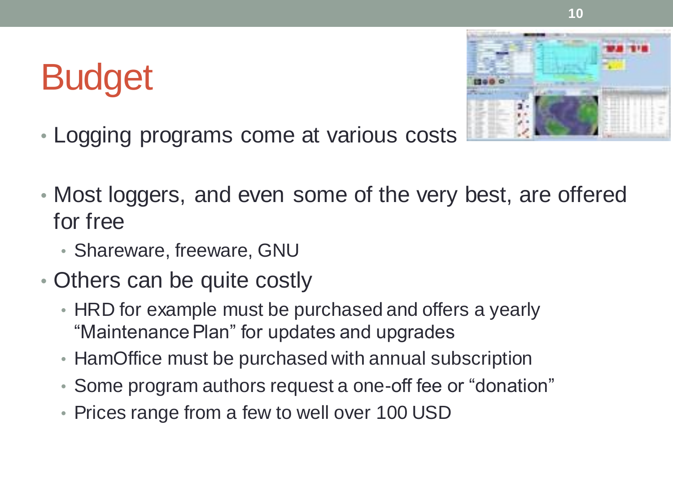### Budget

- 
- Logging programs come at various costs
- Most loggers, and even some of the very best, are offered for free
	- Shareware, freeware, GNU
- Others can be quite costly
	- HRD for example must be purchased and offers a yearly "Maintenance Plan" for updates and upgrades
	- HamOffice must be purchased with annual subscription
	- Some program authors request a one-off fee or "donation"
	- Prices range from a few to well over 100 USD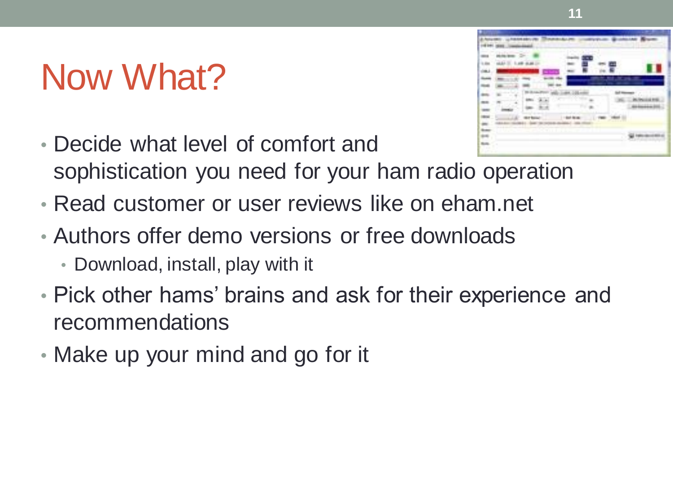#### Now What?

- Decide what level of comfort and sophistication you need for your ham radio operation
- Read customer or user reviews like on eham.net
- Authors offer demo versions or free downloads • Download, install, play with it
- Pick other hams' brains and ask for their experience and recommendations
- Make up your mind and go for it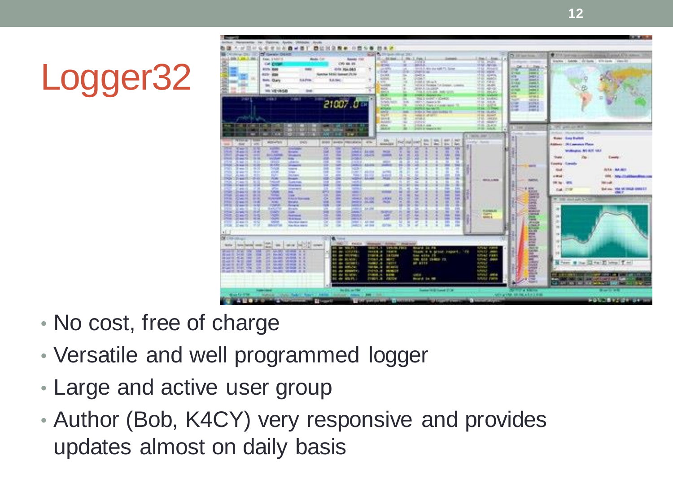# Logger32



- No cost, free of charge
- Versatile and well programmed logger
- Large and active user group
- Author (Bob, K4CY) very responsive and provides updates almost on daily basis